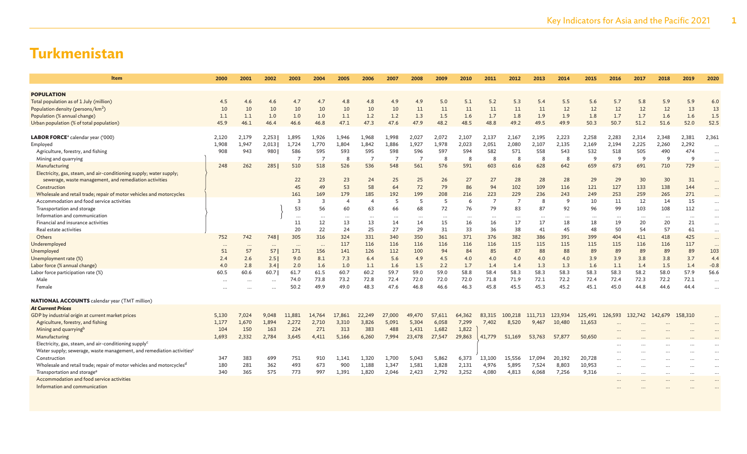| <b>Item</b>                                                                       | 2000      | 2001     | 2002      | 2003           | 2004           | 2005           | 2006           | 2007           | 2008           | 2009     | 2010      | 2011           | 2012           | 2013     | 2014     | 2015            | 2016  | 2017      | 2018      | 2019     | 2020      |
|-----------------------------------------------------------------------------------|-----------|----------|-----------|----------------|----------------|----------------|----------------|----------------|----------------|----------|-----------|----------------|----------------|----------|----------|-----------------|-------|-----------|-----------|----------|-----------|
|                                                                                   |           |          |           |                |                |                |                |                |                |          |           |                |                |          |          |                 |       |           |           |          |           |
| <b>POPULATION</b><br>Total population as of 1 July (million)                      |           | 4.6      |           |                | 4.7            |                |                |                |                | 5.0      |           |                | 5.3            | 5.4      | 5.5      |                 | 5.7   |           |           | 5.9      |           |
| Population density (persons/km <sup>2</sup> )                                     | 4.5<br>10 | 10       | 4.6<br>10 | 4.7<br>10      | 10             | 4.8<br>10      | 4.8<br>10      | 4.9<br>10      | 4.9<br>11      | 11       | 5.1<br>11 | 5.2<br>11      | 11             | 11       | 12       | 5.6<br>12       | 12    | 5.8<br>12 | 5.9<br>12 | 13       | 6.0<br>13 |
| Population (% annual change)                                                      | 1.1       | 1.1      | 1.0       | 1.0            | 1.0            | 1.1            | 1.2            | 1.2            | 1.3            | 1.5      | 1.6       | 1.7            | 1.8            | 1.9      | 1.9      | 1.8             | 1.7   | 1.7       | 1.6       | 1.6      | 1.5       |
| Urban population (% of total population)                                          | 45.9      | 46.1     | 46.4      | 46.6           | 46.8           | 47.1           | 47.3           | 47.6           | 47.9           | 48.2     | 48.5      | 48.8           | 49.2           | 49.5     | 49.9     | 50.3            | 50.7  | 51.2      | 51.6      | 52.0     | 52.5      |
|                                                                                   |           |          |           |                |                |                |                |                |                |          |           |                |                |          |          |                 |       |           |           |          |           |
| <b>LABOR FORCE</b> <sup>a</sup> calendar year ('000)                              | 2,120     | 2,179    | 2,253     | 1,895          | 1,926          | 1,946          | 1,968          | 1,998          | 2,027          | 2,072    | 2,107     | 2,137          | 2,167          | 2,195    | 2,223    | 2,258           | 2,283 | 2,314     | 2,348     | 2,381    | 2,361     |
| Employed                                                                          | 1,908     | 1,947    | 2,013     | 1,724          | 1,770          | 1,804          | 1,842          | 1,886          | 1,927          | 1,978    | 2,023     | 2,051          | 2,080          | 2,107    | 2,135    | 2,169           | 2,194 | 2,225     | 2,260     | 2,292    | $\ddots$  |
| Agriculture, forestry, and fishing                                                | 908       | 943      | 980       | 586            | 595            | 593            | 595            | 598            | 596            | 597      | 594       | 582            | 571            | 558      | 543      | 532             | 518   | 505       | 490       | 474      | $\cdots$  |
| Mining and quarrying                                                              |           |          |           | $\overline{7}$ | $\overline{7}$ | -8             | $\overline{7}$ | $\overline{7}$ | $\overline{7}$ | -8       | 8         | -8             | -8             | 8        | 8        | 9               | -9    | 9         | 9         | 9        | $\cdots$  |
| Manufacturing                                                                     | 248       | 262      | 285       | 510            | 518            | 526            | 536            | 548            | 561            | 576      | 591       | 603            | 616            | 628      | 642      | 659             | 673   | 691       | 710       | 729      | $\cdots$  |
| Electricity, gas, steam, and air-conditioning supply; water supply;               |           |          |           |                |                |                |                |                |                |          |           |                |                |          |          |                 |       |           |           |          |           |
| sewerage, waste management, and remediation activities                            |           |          |           | 22             | 23             | 23             | 24             | 25             | 25             | 26       | 27        | 27             | 28             | 28       | 28       | 29              | 29    | 30        | 30        | 31       | $\cdots$  |
| Construction                                                                      |           |          |           | 45             | 49             | 53             | 58             | 64             | 72             | 79       | 86        | 94             | 102            | 109      | 116      | 121             | 127   | 133       | 138       | 144      | $\cdots$  |
| Wholesale and retail trade; repair of motor vehicles and motorcycles              |           |          |           | 161            | 169            | 179            | 185            | 192            | 199            | 208      | 216       | 223            | 229            | 236      | 243      | 249             | 253   | 259       | 265       | 271      | $\cdots$  |
| Accommodation and food service activities                                         |           |          |           | 3              | $\overline{3}$ | $\overline{4}$ | 4              | 5              | 5              | 5        | 6         | $\overline{7}$ | $\overline{7}$ | 8        | 9        | 10              | 11    | 12        | 14        | 15       | $\cdots$  |
| Transportation and storage                                                        |           |          |           | 53             | 56             | 60             | 63             | 66             | 68             | 72       | 76        | 79             | 83             | 87       | 92       | 96              | 99    | 103       | 108       | 112      | $\cdots$  |
| Information and communication                                                     |           |          |           | .              | $\cdots$       | $\cdots$       | $\cdots$       | $\cdots$       |                | $\cdots$ | $\cdots$  |                | $\cdots$       | $\cdots$ | $\cdots$ | $\cdots$        |       | $\cdots$  | $\cdots$  | $\cdots$ | $\cdots$  |
| Financial and insurance activities                                                |           |          |           | 11             | 12             | 13             | 13             | 14             | 14             | 15       | 16        | 16             | 17             | 17       | 18       | 18              | 19    | 20        | 20        | 21       | $\cdots$  |
| Real estate activities                                                            |           |          |           | 20             | 22             | 24             | 25             | 27             | 29             | 31       | 33        | 36             | 38             | 41       | 45       | 48              | 50    | 54        | 57        | 61       | $\cdots$  |
| Others                                                                            | 752       | 742      | 748       | 305            | 316            | 324            | 331            | 340            | 350            | 361      | 371       | 376            | 382            | 386      | 391      | 399             | 404   | 411       | 418       | 425      | $\cdots$  |
| Underemployed                                                                     |           | $\cdots$ | $\cdots$  | $\cdots$       | $\cdots$       | 117            | 116            | 116            | 116            | 116      | 116       | 116            | 115            | 115      | 115      | 115             | 115   | 116       | 116       | 117      | $\cdots$  |
| Unemployed                                                                        | 51        | 57       | 57        | 171            | 156            | 141            | 126            | 112            | 100            | 94       | 84        | 85             | 87             | 88       | 88       | 89              | 89    | 89        | 89        | 89       | 103       |
| Unemployment rate (%)                                                             | 2.4       | 2.6      | 2.51      | 9.0            | 8.1            | 7.3            | 6.4            | 5.6            | 4.9            | 4.5      | 4.0       | 4.0            | 4.0            | 4.0      | 4.0      | 3.9             | 3.9   | 3.8       | 3.8       | 3.7      | 4.4       |
| Labor force (% annual change)                                                     | 4.0       | 2.8      | 3.4       | 2.0            | 1.6            | 1.0            | 1.1            | 1.6            | 1.5            | 2.2      | 1.7       | 1.4            | 1.4            | 1.3      | 1.3      | 1.6             | 1.1   | 1.4       | 1.5       | 1.4      | $-0.8$    |
| Labor force participation rate (%)                                                | 60.5      | 60.6     | 60.7      | 61.7           | 61.5           | 60.7           | 60.2           | 59.7           | 59.0           | 59.0     | 58.8      | 58.4           | 58.3           | 58.3     | 58.3     | 58.3            | 58.3  | 58.2      | 58.0      | 57.9     | 56.6      |
| Male                                                                              |           | $\cdots$ | $\cdots$  | 74.0           | 73.8           | 73.2           | 72.8           | 72.4           | 72.0           | 72.0     | 72.0      | 71.8           | 71.9           | 72.1     | 72.2     | 72.4            | 72.4  | 72.3      | 72.2      | 72.1     | $\cdots$  |
| Female                                                                            | .         |          |           | 50.2           | 49.9           | 49.0           | 48.3           | 47.6           | 46.8           | 46.6     | 46.3      | 45.8           | 45.5           | 45.3     | 45.2     | 45.1            | 45.0  | 44.8      | 44.6      | 44.4     | $\ddots$  |
| <b>NATIONAL ACCOUNTS</b> calendar year (TMT million)                              |           |          |           |                |                |                |                |                |                |          |           |                |                |          |          |                 |       |           |           |          |           |
| <b>At Current Prices</b>                                                          |           |          |           |                |                |                |                |                |                |          |           |                |                |          |          |                 |       |           |           |          |           |
| GDP by industrial origin at current market prices                                 | 5,130     | 7,024    | 9,048     | 11,881         | 14,764         | 17,861         | 22,249         | 27,000         | 49,470         | 57,611   | 64,362    | 83,315         | 100,218        | 111,713  | 123,934  | 125,491 126,593 |       | 132,742   | 142,679   | 158,310  | $\cdots$  |
| Agriculture, forestry, and fishing                                                | 1,177     | 1,670    | 1,894     | 2,272          | 2,710          | 3,310          | 3,826          | 5,091          | 5,304          | 6,058    | 7,299     | 7,402          | 8,520          | 9,467    | 10,480   | 11,653          |       |           |           | $\cdots$ | $\cdots$  |
| Mining and quarrying <sup>b</sup>                                                 | 104       | 150      | 163       | 224            | 271            | 313            | 383            | 488            | 1,431          | 1,682    | 1,822     |                |                |          |          |                 |       |           |           |          | $\ddots$  |
| Manufacturing                                                                     | 1,693     | 2,332    | 2,784     | 3,645          | 4,411          | 5,166          | 6,260          | 7,994          | 23,478         | 27,547   | 29,863    | 41,779         | 51,169         | 53,763   | 57,877   | 50,650          |       |           |           |          | $\ddotsc$ |
| Electricity, gas, steam, and air-conditioning supply <sup>c</sup>                 |           |          |           |                |                |                |                |                |                |          |           |                |                |          |          |                 |       |           |           |          | $\ddotsc$ |
| Water supply; sewerage, waste management, and remediation activities <sup>c</sup> |           |          |           |                |                |                |                |                |                |          |           |                |                |          |          |                 |       |           |           |          | $\cdots$  |
| Construction                                                                      | 347       | 383      | 699       | 751            | 910            | 1,141          | 1,320          | 1,700          | 5,043          | 5,862    | 6,373     | 13,100         | 15,556         | 17,094   | 20,192   | 20,728          |       |           | $\cdots$  | $\cdots$ | $\cdots$  |
| Wholesale and retail trade; repair of motor vehicles and motorcycles <sup>d</sup> | 180       | 281      | 362       | 493            | 673            | 900            | 1,188          | 1,347          | 1,581          | 1,828    | 2,131     | 4,976          | 5,895          | 7,524    | 8,803    | 10,953          |       |           |           |          | $\cdots$  |
| Transportation and storage <sup>e</sup>                                           | 340       | 365      | 575       | 773            | 997            | 1,391          | 1,820          | 2,046          | 2,423          | 2,792    | 3,252     | 4,080          | 4,813          | 6,068    | 7,256    | 9,316           |       |           |           |          | $\cdots$  |
| Accommodation and food service activities                                         |           |          |           |                |                |                |                |                |                |          |           |                |                |          |          |                 |       |           |           |          | $\ddotsc$ |
| Information and communication                                                     |           |          |           |                |                |                |                |                |                |          |           |                |                |          |          |                 |       |           |           |          |           |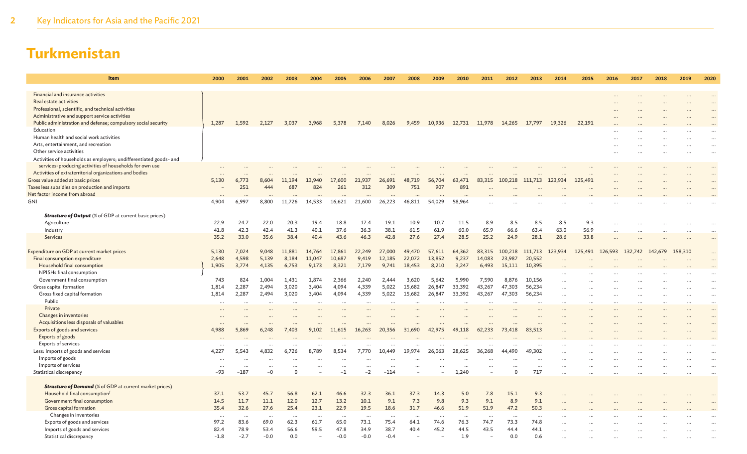| <b>Item</b>                                                        | 2000             | 2001                | 2002            | 2003     | 2004      | 2005     | 2006             | 2007               | 2008      | 2009                 | 2010               | 2011      | 2012      | 2013            | 2014      | 2015    | 2016    | 2017    | 2018      | 2019    | 2020     |
|--------------------------------------------------------------------|------------------|---------------------|-----------------|----------|-----------|----------|------------------|--------------------|-----------|----------------------|--------------------|-----------|-----------|-----------------|-----------|---------|---------|---------|-----------|---------|----------|
| Financial and insurance activities                                 |                  |                     |                 |          |           |          |                  |                    |           |                      |                    |           |           |                 |           |         |         |         |           |         |          |
| Real estate activities                                             |                  |                     |                 |          |           |          |                  |                    |           |                      |                    |           |           |                 |           |         |         |         |           |         |          |
| Professional, scientific, and technical activities                 |                  |                     |                 |          |           |          |                  |                    |           |                      |                    |           |           |                 |           |         |         |         |           |         |          |
| Administrative and support service activities                      |                  |                     |                 |          |           |          |                  |                    |           |                      |                    |           |           |                 |           |         |         |         |           |         |          |
| Public administration and defense; compulsory social security      | 1,287            | 1,592               | 2.127           | 3,037    | 3,968     | 5,378    | 7,140            | 8,026              | 9,459     | 10,936               | 12,731             | 11,978    | 14,265    | 17,797          | 19,326    | 22,191  |         |         |           |         |          |
| Education                                                          |                  |                     |                 |          |           |          |                  |                    |           |                      |                    |           |           |                 |           |         |         |         |           |         |          |
| Human health and social work activities                            |                  |                     |                 |          |           |          |                  |                    |           |                      |                    |           |           |                 |           |         |         |         |           |         |          |
| Arts, entertainment, and recreation                                |                  |                     |                 |          |           |          |                  |                    |           |                      |                    |           |           |                 |           |         |         |         |           |         |          |
| Other service activities                                           |                  |                     |                 |          |           |          |                  |                    |           |                      |                    |           |           |                 |           |         |         |         |           |         |          |
| Activities of households as employers; undifferentiated goods- and |                  |                     |                 |          |           |          |                  |                    |           |                      |                    |           |           |                 |           |         |         |         |           |         |          |
| services-producing activities of households for own use            |                  |                     |                 |          |           |          |                  |                    |           |                      |                    |           |           |                 |           |         |         |         |           |         |          |
| Activities of extraterritorial organizations and bodies            | $\ddots$         |                     |                 |          |           |          |                  |                    |           |                      |                    |           |           |                 |           |         |         |         |           |         |          |
| Gross value added at basic prices                                  | 5,130            | 6,773               | 8,604           | 11,194   | 13,940    | 17,600   | 21,937           | 26,691             | 48,719    | 56,704               | 63,471             | 83,315    | 100,218   | 111,713         | 123,934   | 125,491 |         |         |           |         |          |
| Taxes less subsidies on production and imports                     |                  | 251                 | 444             | 687      | 824       | 261      | 312              | 309                | 751       | 907                  | 891                |           |           |                 |           |         |         |         |           |         |          |
| Net factor income from abroad                                      |                  |                     |                 |          |           |          |                  |                    |           |                      |                    |           |           |                 |           |         |         |         |           |         |          |
| GNI                                                                | 4,904            | 6,997               | 8,800           | 11,726   | 14,533    | 16,621   | 21,600           | 26,223             | 46,811    | 54,029               | 58,964             |           |           |                 |           |         |         |         |           |         |          |
|                                                                    |                  |                     |                 |          |           |          |                  |                    |           |                      |                    |           |           |                 |           |         |         |         |           |         |          |
| <b>Structure of Output</b> (% of GDP at current basic prices)      |                  |                     |                 |          |           |          |                  |                    |           |                      |                    |           |           |                 |           |         |         |         |           |         |          |
| Agriculture                                                        | 22.9             | 24.7                | 22.0            | 20.3     | 19.4      | 18.8     | 17.4             | 19.1               | 10.9      | 10.7                 | 11.5               | 8.9       | 8.5       | 8.5             | 8.5       | 9.3     |         |         |           |         |          |
| Industry                                                           | 41.8             | 42.3                | 42.4            | 41.3     | 40.1      | 37.6     | 36.3             | 38.1               | 61.5      | 61.9                 | 60.0               | 65.9      | 66.6      | 63.4            | 63.0      | 56.9    |         |         |           |         |          |
| Services                                                           | 35.2             | 33.0                | 35.6            | 38.4     | 40.4      | 43.6     | 46.3             | 42.8               | 27.6      | 27.4                 | 28.5               | 25.2      | 24.9      | 28.1            | 28.6      | 33.8    |         |         | $\ddotsc$ |         | $\cdots$ |
| Expenditure on GDP at current market prices                        | 5,130            | 7,024               | 9,048           | 11,881   | 14,764    | 17,861   | 22,249           | 27,000             | 49,470    | 57,611               | 64,362             | 83,315    | 100,218   | 111,713         | 123,934   | 125,491 | 126,593 | 132,742 | 142,679   | 158,310 |          |
| Final consumption expenditure                                      | 2,648            | 4,598               | 5,139           | 8,184    | 11,047    | 10,687   | 9,419            | 12,185             | 22,072    | 13,852               | 9,237              | 14,083    | 23,987    | 20,552          |           |         |         |         |           |         |          |
| Household final consumption                                        | 1,905            | 3,774               | 4,135           | 6,753    | 9,173     | 8,321    | 7,179            | 9,741              | 18,453    | 8,210                | 3,247              | 6,493     | 15,111    | 10,395          |           |         |         |         |           |         |          |
| NPISHs final consumption                                           |                  |                     |                 |          |           |          |                  |                    |           |                      |                    |           |           |                 |           |         |         |         |           |         |          |
| Government final consumption                                       | 743              | 824                 | 1,004           | 1,431    | 1,874     | 2,366    | 2,240            | 2,444              | 3,620     | 5,642                | 5,990              | 7,590     | 8,876     | 10,156          |           |         |         |         |           |         |          |
| Gross capital formation                                            | 1,814            | 2,287               | 2,494           | 3,020    | 3,404     | 4,094    | 4,339            | 5,022              | 15,682    | 26,847               | 33,392             | 43,267    | 47,303    | 56,234          | $\ddotsc$ |         |         |         |           |         |          |
| Gross fixed capital formation                                      | 1,814            | 2,287               | 2,494           | 3,020    | 3,404     | 4,094    | 4,339            | 5,022              | 15,682    | 26,847               | 33,392             | 43,267    | 47,303    | 56,234          | $\cdots$  |         |         |         |           |         |          |
| Public                                                             | $\cdots$         |                     | $\cdots$        | $\cdots$ |           | $\cdots$ | $\cdots$         |                    |           |                      | $\ddots$           |           |           |                 |           |         |         |         |           |         |          |
| Private                                                            |                  |                     |                 |          |           |          |                  |                    |           |                      |                    |           |           |                 |           |         |         |         |           |         |          |
| Changes in inventories                                             |                  |                     |                 |          |           |          |                  |                    |           |                      |                    |           |           |                 |           |         |         |         |           |         |          |
| Acquisitions less disposals of valuables                           |                  |                     |                 |          |           |          |                  |                    |           |                      |                    |           |           |                 |           |         |         |         |           |         |          |
| Exports of goods and services                                      | 4,988            | 5,869               | 6,248           | 7,403    | 9,102     | 11,615   | 16,263           | 20,356             | 31,690    | 42,975               | 49,118             | 62,233    | 73,418    | 83,513          |           |         |         |         |           |         |          |
| Exports of goods                                                   |                  |                     |                 |          |           |          |                  |                    |           |                      |                    |           |           |                 |           |         |         |         |           |         |          |
| <b>Exports of services</b>                                         |                  |                     | $\cdots$        |          |           |          |                  |                    |           |                      |                    |           |           |                 |           |         |         |         |           |         |          |
| Less: Imports of goods and services                                | 4,227            | 5,543               | 4,832           | 6,726    | 8.789     | 8.534    | 7,770            | 10,449             | 19,974    | 26,063               | 28,625             | 36,268    | 44,490    | 49,302          |           |         |         |         |           |         | $\cdots$ |
| Imports of goods                                                   | $\ddots$         |                     | $\ddotsc$       |          |           | $\cdots$ |                  |                    |           |                      |                    |           |           |                 | $\ddotsc$ |         |         |         |           |         |          |
| Imports of services<br>Statistical discrepancy                     | $\ddotsc$<br>-93 | $\ddotsc$<br>$-187$ | $\ddotsc$<br>-0 | $\Omega$ |           | $-1$     | $\cdots$<br>$-2$ | $\ddots$<br>$-114$ |           |                      | $\ddotsc$<br>1.240 |           | $\Omega$  | $\cdots$<br>717 | $\ddotsc$ |         |         |         |           |         |          |
|                                                                    |                  |                     |                 |          |           |          |                  |                    |           |                      |                    |           |           |                 | $\ddotsc$ |         |         |         | $\ddotsc$ |         |          |
| <b>Structure of Demand</b> (% of GDP at current market prices)     |                  |                     |                 |          |           |          |                  |                    |           |                      |                    |           |           |                 |           |         |         |         |           |         |          |
| Household final consumption <sup>f</sup>                           | 37.1             | 53.7                | 45.7            | 56.8     | 62.1      | 46.6     | 32.3             | 36.1               | 37.3      | 14.3                 | 5.0                | 7.8       | 15.1      | 9.3             |           |         |         |         |           |         |          |
| Government final consumption                                       | 14.5             | 11.7                | 11.1            | 12.0     | 12.7      | 13.2     | 10.1             | 9.1                | 7.3       | 9.8                  | 9.3                | 9.1       | 8.9       | 9.1             |           |         |         |         |           |         |          |
| Gross capital formation                                            | 35.4             | 32.6                | 27.6            | 25.4     | 23.1      | 22.9     | 19.5             | 18.6               | 31.7      | 46.6                 | 51.9               | 51.9      | 47.2      | 50.3            |           |         |         |         |           |         |          |
| Changes in inventories                                             | $\cdots$         | $\cdots$            | $\cdots$        | $\cdots$ | $\ddotsc$ | $\cdots$ | $\cdots$         | $\cdots$           | $\ddotsc$ | $\ddot{\phantom{a}}$ | $\cdots$           | $\ddotsc$ | $\ddotsc$ | $\ddotsc$       |           |         |         |         |           |         |          |
| Exports of goods and services                                      | 97.2             | 83.6                | 69.0            | 62.3     | 61.7      | 65.0     | 73.1             | 75.4               | 64.1      | 74.6                 | 76.3               | 74.7      | 73.3      | 74.8            |           |         |         |         |           |         |          |
| Imports of goods and services                                      | 82.4             | 78.9                | 53.4            | 56.6     | 59.5      | 47.8     | 34.9             | 38.7               | 40.4      | 45.2                 | 44.5               | 43.5      | 44.4      | 44.1            |           |         |         |         |           |         |          |
| Statistical discrepancy                                            | $-1.8$           | $-2.7$              | $-0.0$          | 0.0      |           | $-0.0$   | $-0.0$           | $-0.4$             |           |                      | 1.9                |           | 0.0       | 0.6             |           |         |         |         |           |         |          |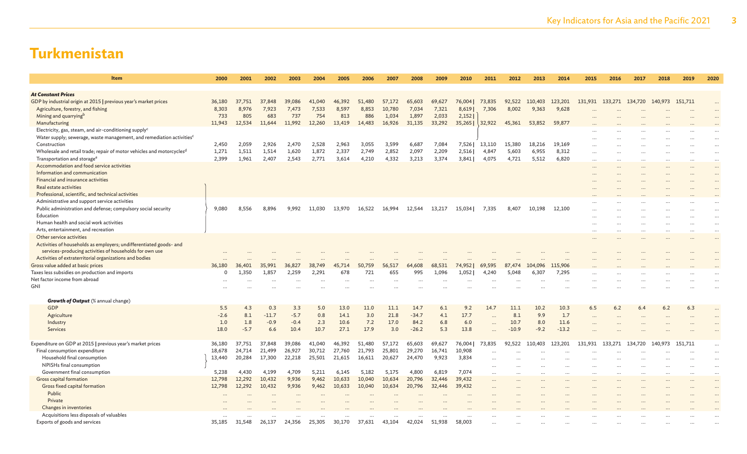| Item                                                                                                | 2000         | 2001   | 2002    | 2003   | 2004   | 2005   | 2006   | 2007   | 2008    | 2009   | 2010   | 2011                 | 2012    | 2013           | 2014     | 2015      | 2016    | 2017                                    | 2018      | 2019      | 2020                 |
|-----------------------------------------------------------------------------------------------------|--------------|--------|---------|--------|--------|--------|--------|--------|---------|--------|--------|----------------------|---------|----------------|----------|-----------|---------|-----------------------------------------|-----------|-----------|----------------------|
| <b>At Constant Prices</b>                                                                           |              |        |         |        |        |        |        |        |         |        |        |                      |         |                |          |           |         |                                         |           |           |                      |
| GDP by industrial origin at 2015   previous year's market prices                                    | 36,180       | 37,751 | 37,848  | 39,086 | 41,040 | 46,392 | 51,480 | 57,172 | 65,603  | 69,627 | 76,004 | 73,835               |         | 92,522 110,403 | 123,201  |           |         | 131,931 133,271 134,720 140,973 151,711 |           |           | $\ddots$             |
| Agriculture, forestry, and fishing                                                                  | 8,303        | 8.976  | 7,923   | 7,473  | 7,533  | 8,597  | 8,853  | 10,780 | 7,034   | 7,321  | 8,619  | 7,306                | 8,002   | 9,363          | 9,628    |           |         |                                         |           |           |                      |
| Mining and quarrying <sup>b</sup>                                                                   | 733          | 805    | 683     | 737    | 754    | 813    | 886    | 1,034  | 1,897   | 2,033  | 2,152  |                      |         |                |          |           |         |                                         |           |           |                      |
| Manufacturing                                                                                       | 11,943       | 12,534 | 11,644  | 11,992 | 12,260 | 13,419 | 14,483 | 16,926 | 31,135  | 33,292 | 35,265 | 32,922               | 45,361  | 53,852         | 59,877   |           |         |                                         |           |           |                      |
| Electricity, gas, steam, and air-conditioning supply <sup>c</sup>                                   |              |        |         |        |        |        |        |        |         |        |        |                      |         |                |          |           |         |                                         |           |           |                      |
| Water supply; sewerage, waste management, and remediation activities <sup>c</sup>                   |              |        |         |        |        |        |        |        |         |        |        |                      |         |                |          |           |         |                                         |           |           | $\ddot{\phantom{a}}$ |
| Construction                                                                                        | 2,450        | 2,059  | 2,926   | 2,470  | 2,528  | 2,963  | 3,055  | 3,599  | 6,687   | 7,084  | 7,526  | 13,110               | 15,380  | 18,216         | 19,169   |           |         |                                         |           |           | $\cdots$             |
| Wholesale and retail trade; repair of motor vehicles and motorcycles <sup>d</sup>                   | 1,271        | 1,511  | 1,514   | 1,620  | 1,872  | 2,337  | 2,749  | 2,852  | 2,097   | 2,209  | 2,516  | 4,847                | 5,603   | 6,955          | 8,312    | $\ddotsc$ |         |                                         |           |           | $\cdots$             |
| Transportation and storage <sup>e</sup>                                                             | 2,399        | 1,961  | 2,407   | 2,543  | 2,771  | 3,614  | 4,210  | 4,332  | 3,213   | 3,374  | 3,841  | 4,075                | 4,721   | 5,512          | 6,820    | $\ddotsc$ |         |                                         | $\ddotsc$ | $\ddotsc$ | $\cdots$             |
| Accommodation and food service activities                                                           |              |        |         |        |        |        |        |        |         |        |        |                      |         |                |          |           |         |                                         |           |           | $\cdots$             |
| Information and communication                                                                       |              |        |         |        |        |        |        |        |         |        |        |                      |         |                |          |           |         |                                         |           |           | $\cdots$             |
| Financial and insurance activities                                                                  |              |        |         |        |        |        |        |        |         |        |        |                      |         |                |          |           |         |                                         |           |           |                      |
| Real estate activities                                                                              |              |        |         |        |        |        |        |        |         |        |        |                      |         |                |          |           |         |                                         |           |           |                      |
| Professional, scientific, and technical activities<br>Administrative and support service activities |              |        |         |        |        |        |        |        |         |        |        |                      |         |                |          |           |         |                                         |           |           |                      |
| Public administration and defense; compulsory social security                                       | 9.080        | 8.556  | 8.896   | 9.992  | 11,030 | 13.970 | 16,522 | 16,994 | 12.544  | 13,217 | 15.034 | 7,335                | 8,407   | 10.198         | 12,100   |           |         |                                         |           |           |                      |
| Education                                                                                           |              |        |         |        |        |        |        |        |         |        |        |                      |         |                |          |           |         |                                         |           |           | $\cdots$             |
| Human health and social work activities                                                             |              |        |         |        |        |        |        |        |         |        |        |                      |         |                |          |           |         |                                         |           |           | $\cdots$<br>$\cdots$ |
| Arts, entertainment, and recreation                                                                 |              |        |         |        |        |        |        |        |         |        |        |                      |         |                |          | $\cdots$  |         | $\cdots$                                | $\cdots$  | $\ddotsc$ | $\cdots$             |
| Other service activities                                                                            |              |        |         |        |        |        |        |        |         |        |        |                      |         |                |          |           |         |                                         |           |           | $\cdots$             |
| Activities of households as employers; undifferentiated goods- and                                  |              |        |         |        |        |        |        |        |         |        |        |                      |         |                |          |           |         |                                         |           |           |                      |
| services-producing activities of households for own use                                             |              |        |         |        |        |        |        |        |         |        |        |                      |         |                |          |           |         |                                         |           |           |                      |
| Activities of extraterritorial organizations and bodies                                             |              |        |         |        |        |        |        |        |         |        |        |                      |         |                |          |           |         |                                         |           |           |                      |
| Gross value added at basic prices                                                                   | 36,180       | 36,401 | 35,991  | 36,827 | 38,749 | 45,714 | 50,759 | 56,517 | 64,608  | 68,531 | 74,952 | 69,595               | 87,474  | 104,096        | 115,906  |           |         |                                         |           |           |                      |
| Taxes less subsidies on production and imports                                                      | $\mathbf{0}$ | 1,350  | 1,857   | 2,259  | 2,291  | 678    | 721    | 655    | 995     | 1,096  | 1,052  | 4,240                | 5,048   | 6,307          | 7,295    |           |         |                                         |           |           |                      |
| Net factor income from abroad                                                                       |              |        |         |        |        |        |        |        |         |        |        |                      |         |                |          |           |         |                                         |           |           |                      |
| <b>GNI</b>                                                                                          |              |        |         |        |        |        |        |        |         |        |        |                      |         |                |          |           |         |                                         |           |           |                      |
| <b>Growth of Output</b> (% annual change)                                                           |              |        |         |        |        |        |        |        |         |        |        |                      |         |                |          |           |         |                                         |           |           |                      |
| GDP                                                                                                 | 5.5          | 4.3    | 0.3     | 3.3    | 5.0    | 13.0   | 11.0   | 11.1   | 14.7    | 6.1    | 9.2    | 14.7                 | 11.1    | 10.2           | 10.3     | 6.5       | 6.2     | 6.4                                     | 6.2       | 6.3       | $\ddots$             |
| Agriculture                                                                                         | $-2.6$       | 8.1    | $-11.7$ | $-5.7$ | 0.8    | 14.1   | 3.0    | 21.8   | $-34.7$ | 4.1    | 17.7   |                      | 8.1     | 9.9            | 1.7      | $\cdots$  |         |                                         |           |           | $\ddotsc$            |
| Industry                                                                                            | 1.0          | 1.8    | $-0.9$  | $-0.4$ | 2.3    | 10.6   | 7.2    | 17.0   | 84.2    | 6.8    | 6.0    |                      | 10.7    | 8.0            | 11.6     |           |         |                                         |           |           |                      |
| Services                                                                                            | 18.0         | $-5.7$ | 6.6     | 10.4   | 10.7   | 27.1   | 17.9   | 3.0    | $-26.2$ | 5.3    | 13.8   |                      | $-10.9$ | $-9.2$         | $-13.2$  |           |         |                                         |           |           | $\ddotsc$            |
|                                                                                                     |              |        |         |        |        |        |        |        |         |        |        |                      |         |                |          |           |         |                                         |           |           |                      |
| Expenditure on GDP at 2015   previous year's market prices                                          | 36,180       | 37,751 | 37,848  | 39,086 | 41,040 | 46,392 | 51,480 | 57,172 | 65,603  | 69,627 | 76,004 | 73,835               | 92,522  | 110,403        | 123,201  | 131.931   | 133.271 | 134.720                                 | 140.973   | 151,711   | $\cdots$             |
| Final consumption expenditure                                                                       | 18,678       | 24,714 | 21,499  | 26,927 | 30,712 | 27,760 | 21,793 | 25,801 | 29,270  | 16,741 | 10,908 | $\ddot{\phantom{a}}$ |         |                |          |           |         |                                         |           |           | $\cdots$             |
| Household final consumption                                                                         | 13,440       | 20,284 | 17,300  | 22,218 | 25,501 | 21,615 | 16,611 | 20,627 | 24,470  | 9,923  | 3,834  |                      |         |                |          |           |         |                                         |           |           | $\cdots$             |
| NPISHs final consumption                                                                            |              |        |         |        |        |        |        |        |         |        |        | $\ddots$             |         | .              | $\cdots$ | $\cdots$  |         | $\ddotsc$                               | $\ddotsc$ | $\ddotsc$ | $\cdots$             |
| Government final consumption                                                                        | 5,238        | 4,430  | 4,199   | 4,709  | 5,211  | 6,145  | 5,182  | 5,175  | 4,800   | 6,819  | 7,074  | $\cdots$             |         |                | $\cdots$ | $\cdots$  |         |                                         | $\cdots$  | $\cdots$  | $\cdots$             |
| Gross capital formation                                                                             | 12,798       | 12,292 | 10,432  | 9,936  | 9,462  | 10,633 | 10,040 | 10,634 | 20,796  | 32,446 | 39,432 | $\cdots$             |         |                | $\cdots$ |           |         |                                         |           |           | $\cdots$             |
| Gross fixed capital formation                                                                       | 12,798       | 12,292 | 10,432  | 9,936  | 9,462  | 10,633 | 10,040 | 10,634 | 20,796  | 32,446 | 39,432 |                      |         |                |          |           |         |                                         |           |           | $\cdots$             |
| Public                                                                                              |              |        |         |        |        |        |        |        |         |        |        |                      |         |                |          |           |         |                                         |           |           | $\ddots$             |
| Private                                                                                             |              |        |         |        |        |        |        |        |         |        |        |                      |         |                |          |           |         |                                         |           |           |                      |
| Changes in inventories                                                                              |              |        |         |        |        |        |        |        |         |        |        |                      |         |                |          |           |         |                                         |           |           |                      |
| Acquisitions less disposals of valuables                                                            |              |        |         |        |        |        |        |        |         |        |        |                      |         |                |          |           |         |                                         |           |           |                      |
| Exports of goods and services                                                                       | 35,185       | 31,548 | 26,137  | 24,356 | 25,305 | 30,170 | 37,631 | 43,104 | 42,024  | 51,938 | 58,003 |                      |         |                |          |           |         |                                         |           |           |                      |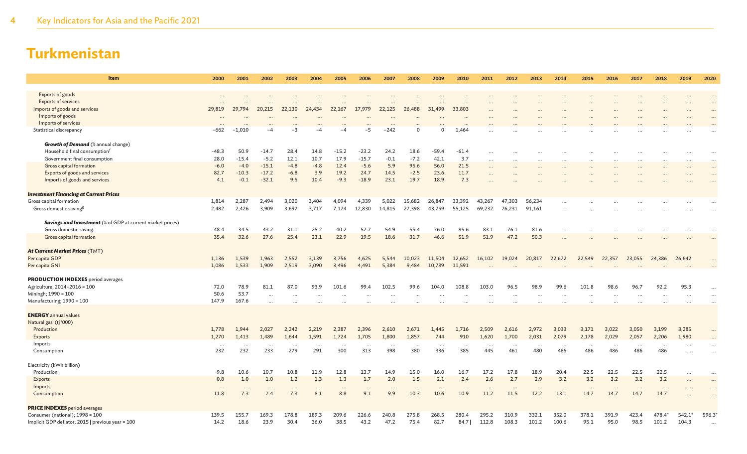| Item                                                              | 2000                 | 2001            | 2002            | 2003            | 2004            | 2005            | 2006            | 2007            | 2008            | 2009            | 2010            | 2011            | 2012            | 2013            | 2014            | 2015            | 2016            | 2017            | 2018            | 2019                   | 2020      |
|-------------------------------------------------------------------|----------------------|-----------------|-----------------|-----------------|-----------------|-----------------|-----------------|-----------------|-----------------|-----------------|-----------------|-----------------|-----------------|-----------------|-----------------|-----------------|-----------------|-----------------|-----------------|------------------------|-----------|
|                                                                   |                      |                 |                 |                 |                 |                 |                 |                 |                 |                 |                 |                 |                 |                 |                 |                 |                 |                 |                 |                        |           |
| Exports of goods<br><b>Exports of services</b>                    | $\ddots$<br>$\cdots$ |                 |                 |                 |                 |                 |                 | $\cdots$        |                 |                 |                 |                 |                 |                 |                 |                 |                 |                 |                 |                        | $\ddotsc$ |
| Imports of goods and services                                     | 29,819               | 29,794          | 20,215          | 22,130          | 24,434          | 22,167          | 17,979          | 22,125          | 26,488          | 31,499          | 33,803          |                 |                 |                 |                 |                 |                 |                 |                 |                        |           |
| Imports of goods                                                  | $\ddots$             |                 |                 |                 |                 |                 |                 | $\cdots$        |                 |                 |                 |                 |                 |                 |                 |                 |                 |                 |                 |                        |           |
| Imports of services                                               |                      |                 |                 |                 |                 |                 |                 |                 |                 |                 |                 |                 |                 |                 |                 |                 |                 |                 |                 |                        |           |
| Statistical discrepancy                                           | $-662$               | $-1.010$        |                 | $-3$            | -4              |                 | -5              | $-242$          | $\Omega$        | $\Omega$        | 1.464           |                 |                 |                 |                 |                 |                 |                 |                 |                        |           |
| <b>Growth of Demand</b> (% annual change)                         |                      |                 |                 |                 |                 |                 |                 |                 |                 |                 |                 |                 |                 |                 |                 |                 |                 |                 |                 |                        |           |
| Household final consumption <sup>f</sup>                          | $-48.3$              | 50.9            | $-14.7$         | 28.4            | 14.8            | $-15.2$         | $-23.2$         | 24.2            | 18.6            | $-59.4$         | $-61.4$         | $\cdots$        |                 |                 |                 |                 |                 |                 |                 |                        |           |
| Government final consumption                                      | 28.0                 | $-15.4$         | $-5.2$          | 12.1            | 10.7            | 17.9            | $-15.7$         | $-0.1$          | $-7.2$          | 42.1            | 3.7             | $\cdots$        |                 |                 |                 |                 |                 |                 |                 |                        | $\ddotsc$ |
| Gross capital formation                                           | $-6.0$               | $-4.0$          | $-15.1$         | $-4.8$          | $-4.8$          | 12.4            | $-5.6$          | 5.9             | 95.6            | 56.0            | 21.5            | $\cdots$        | $\cdots$        |                 | $\cdots$        |                 | $\cdots$        |                 | $\cdots$        | $\cdots$               | $\cdots$  |
| Exports of goods and services                                     | 82.7                 | $-10.3$         | $-17.2$         | $-6.8$          | 3.9             | 19.2            | 24.7            | 14.5            | $-2.5$          | 23.6            | 11.7            | $\ddotsc$       |                 |                 |                 |                 |                 |                 |                 |                        | $\ddotsc$ |
| Imports of goods and services                                     | 4.1                  | $-0.1$          | $-32.1$         | 9.5             | 10.4            | $-9.3$          | $-18.9$         | 23.1            | 19.7            | 18.9            | 7.3             |                 |                 |                 |                 |                 |                 |                 |                 |                        |           |
| <b>Investment Financing at Current Prices</b>                     |                      |                 |                 |                 |                 |                 |                 |                 |                 |                 |                 |                 |                 |                 |                 |                 |                 |                 |                 |                        |           |
| Gross capital formation                                           | 1,814                | 2,287           | 2,494           | 3,020           | 3,404           | 4,094           | 4,339           | 5,022           | 15,682          | 26,847          | 33,392          | 43,267          | 47,303          | 56,234          | $\ddots$        |                 |                 |                 |                 |                        |           |
| Gross domestic saving <sup>g</sup>                                | 2,482                | 2,426           | 3,909           | 3,697           | 3,717           | 7,174           | 12,830          | 14,815          | 27,398          | 43,759          | 55,125          | 69,232          | 76,231          | 91,161          |                 |                 |                 |                 |                 |                        |           |
| <b>Savings and Investment</b> (% of GDP at current market prices) |                      |                 |                 |                 |                 |                 |                 |                 |                 |                 |                 |                 |                 |                 |                 |                 |                 |                 |                 |                        |           |
| Gross domestic saving                                             | 48.4                 | 34.5            | 43.2            | 31.1            | 25.2            | 40.2            | 57.7            | 54.9            | 55.4            | 76.0            | 85.6            | 83.1            | 76.1            | 81.6            |                 |                 |                 |                 |                 |                        |           |
| Gross capital formation                                           | 35.4                 | 32.6            | 27.6            | 25.4            | 23.1            | 22.9            | 19.5            | 18.6            | 31.7            | 46.6            | 51.9            | 51.9            | 47.2            | 50.3            |                 |                 |                 |                 |                 |                        |           |
| At Current Market Prices (TMT)                                    |                      |                 |                 |                 |                 |                 |                 |                 |                 |                 |                 |                 |                 |                 |                 |                 |                 |                 |                 |                        |           |
| Per capita GDP                                                    | 1,136                | 1,539           | 1,963           | 2,552           | 3,139           | 3,756           | 4,625           | 5,544           | 10,023          | 11,504          | 12,652          | 16,102          | 19,024          | 20,817          | 22,672          | 22,549          | 22,357          | 23,055          | 24,386          | 26,642                 |           |
| Per capita GNI                                                    | 1,086                | 1,533           | 1,909           | 2,519           | 3,090           | 3,496           | 4,491           | 5,384           | 9,484           | 10,789          | 11,591          |                 |                 |                 |                 |                 |                 |                 |                 |                        |           |
| <b>PRODUCTION INDEXES</b> period averages                         |                      |                 |                 |                 |                 |                 |                 |                 |                 |                 |                 |                 |                 |                 |                 |                 |                 |                 |                 |                        |           |
| Agriculture; 2014-2016 = 100                                      | 72.0                 | 78.9            | 81.1            | 87.0            | 93.9            | 101.6           | 99.4            | 102.5           | 99.6            | 104.0           | 108.8           | 103.0           | 96.5            | 98.9            | 99.6            | 101.8           | 98.6            | 96.7            | 92.2            | 95.3                   |           |
| Miningh; 1990 = 100                                               | 50.6                 | 53.7            | $\cdots$        | $\cdots$        |                 |                 |                 |                 |                 |                 |                 |                 |                 |                 |                 |                 |                 |                 |                 |                        |           |
| Manufacturing; 1990 = 100                                         | 147.9                | 167.6           | $\cdots$        |                 |                 |                 |                 |                 |                 |                 |                 | $\ddotsc$<br>   |                 | .               |                 |                 |                 |                 |                 | $\ddotsc$              |           |
|                                                                   |                      |                 |                 |                 |                 |                 |                 |                 |                 |                 |                 |                 |                 |                 |                 |                 |                 |                 |                 |                        |           |
| <b>ENERGY</b> annual values                                       |                      |                 |                 |                 |                 |                 |                 |                 |                 |                 |                 |                 |                 |                 |                 |                 |                 |                 |                 |                        |           |
| Natural gas <sup>i</sup> (tj '000)                                |                      |                 |                 |                 |                 |                 |                 |                 |                 |                 |                 |                 |                 |                 |                 |                 |                 |                 |                 |                        |           |
| Production                                                        | 1,778                | 1.944           | 2,027           | 2,242           | 2,219           | 2,387           | 2,396           | 2,610           | 2,671           | 1,445           | 1,716           | 2,509           | 2,616           | 2,972           | 3,033           | 3,171           | 3,022           | 3,050           | 3,199           | 3,285                  |           |
| Exports<br>Imports                                                | 1,270                | 1,413           | 1,489           | 1,644           | 1,591           | 1,724           | 1,705           | 1,800           | 1,857           | 744             | 910             | 1,620           | 1,700           | 2,031           | 2,079           | 2,178           | 2,029           | 2,057           | 2,206           | 1,980                  |           |
| Consumption                                                       | $\cdots$<br>232      | $\cdots$<br>232 | $\cdots$<br>233 | $\cdots$<br>279 | $\cdots$<br>291 | $\cdots$<br>300 | $\cdots$<br>313 | $\cdots$<br>398 | $\cdots$<br>380 | $\cdots$<br>336 | $\cdots$<br>385 | $\cdots$<br>445 | $\cdots$<br>461 | $\cdots$<br>480 | $\cdots$<br>486 | $\cdots$<br>486 | $\cdots$<br>486 | $\cdots$<br>486 | $\cdots$<br>486 | $\ddotsc$<br>$\ddotsc$ |           |
| Electricity (kWh billion)                                         |                      |                 |                 |                 |                 |                 |                 |                 |                 |                 |                 |                 |                 |                 |                 |                 |                 |                 |                 |                        |           |
| Production                                                        | 9.8                  | 10.6            | 10.7            | 10.8            | 11.9            | 12.8            | 13.7            | 14.9            | 15.0            | 16.0            | 16.7            | 17.2            | 17.8            | 18.9            | 20.4            | 22.5            | 22.5            | 22.5            | 22.5            | $\cdots$               | $\ddotsc$ |
| <b>Exports</b>                                                    | 0.8                  | 1.0             | 1.0             | 1.2             | 1.3             | 1.3             | 1.7             | 2.0             | 1.5             | 2.1             | 2.4             | 2.6             | 2.7             | 2.9             | 3.2             | 3.2             | 3.2             | 3.2             | 3.2             |                        | $\ddots$  |
| Imports                                                           | $\cdots$             | $\ddotsc$       | $\cdots$        | $\cdots$        | $\cdot$ .       | $\cdots$        | $\cdots$        | $\ddots$        | $\cdots$        | $\cdots$        | $\cdots$        | $\cdot$ .       | $\cdots$        | $\cdots$        | $\cdots$        | $\cdots$        | $\ddots$        | $\cdots$        | $\cdots$        |                        |           |
| Consumption                                                       | 11.8                 | 7.3             | 7.4             | 7.3             | 8.1             | 8.8             | 9.1             | 9.9             | 10.3            | 10.6            | 10.9            | 11.2            | 11.5            | 12.2            | 13.1            | 14.7            | 14.7            | 14.7            | 14.7            |                        |           |
| <b>PRICE INDEXES</b> period averages                              |                      |                 |                 |                 |                 |                 |                 |                 |                 |                 |                 |                 |                 |                 |                 |                 |                 |                 |                 |                        |           |
| Consumer (national); 1998 = 100                                   | 139.5                | 155.7           | 169.3           | 178.8           | 189.3           | 209.6           | 226.6           | 240.8           | 275.8           | 268.5           | 280.4           | 295.2           | 310.9           | 332.1           | 352.0           | 378.1           | 391.9           | 423.4           | 478.4*          | $542.1*$               | 596.3*    |
| Implicit GDP deflator; 2015   previous year = 100                 | 14.2                 | 18.6            | 23.9            | 30.4            | 36.0            | 38.5            | 43.2            | 47.2            | 75.4            | 82.7            | 84.7            | 112.8           | 108.3           | 101.2           | 100.6           | 95.1            | 95.0            | 98.5            | 101.2           | 104.3                  | $\ddotsc$ |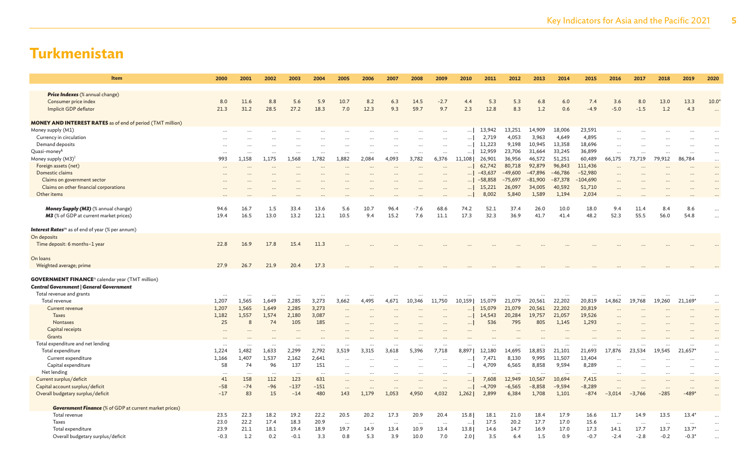| <b>Item</b>                                                        | 2000     | 2001      | 2002     | 2003      | 2004     | 2005      | 2006      | 2007      | 2008      | 2009     | 2010     | 2011      | 2012      | 2013      | 2014      | 2015       | 2016      | 2017      | 2018     | 2019      | 2020                     |
|--------------------------------------------------------------------|----------|-----------|----------|-----------|----------|-----------|-----------|-----------|-----------|----------|----------|-----------|-----------|-----------|-----------|------------|-----------|-----------|----------|-----------|--------------------------|
| Price Indexes (% annual change)                                    |          |           |          |           |          |           |           |           |           |          |          |           |           |           |           |            |           |           |          |           |                          |
| Consumer price index                                               | 8.0      | 11.6      | 8.8      | 5.6       | 5.9      | 10.7      | 8.2       | 6.3       | 14.5      | $-2.7$   | 4.4      | 5.3       | 5.3       | 6.8       | 6.0       | 7.4        | 3.6       | 8.0       | 13.0     | 13.3      | $10.0^{\circ}$           |
| Implicit GDP deflator                                              | 21.3     | 31.2      | 28.5     | 27.2      | 18.3     | 7.0       | 12.3      | 9.3       | 59.7      | 9.7      | 2.3      | 12.8      | 8.3       | 1.2       | 0.6       | $-4.9$     | $-5.0$    | $-1.5$    | 1.2      | 4.3       |                          |
|                                                                    |          |           |          |           |          |           |           |           |           |          |          |           |           |           |           |            |           |           |          |           | $\overline{\phantom{a}}$ |
| <b>MONEY AND INTEREST RATES</b> as of end of period (TMT million)  |          |           |          |           |          |           |           |           |           |          |          |           |           |           |           |            |           |           |          |           |                          |
| Money supply (M1)                                                  |          |           | $\cdots$ |           | $\cdots$ |           |           |           |           |          |          | 13,942    | 13,251    | 14,909    | 18,006    | 23,591     | $\ddots$  |           |          |           | $\cdots$                 |
| Currency in circulation                                            |          |           |          |           |          |           |           |           |           |          | $\cdots$ | 2,719     | 4,053     | 3,963     | 4,649     | 4,895      |           |           |          |           | $\cdots$                 |
| Demand deposits                                                    |          |           |          |           |          |           |           |           |           | $\cdots$ | $\ldots$ | 11,223    | 9,198     | 10,945    | 13,358    | 18,696     |           |           |          |           | $\ddots$                 |
| Quasi-money <sup>k</sup>                                           | $\cdots$ |           |          |           |          |           | $\cdots$  | $\cdots$  |           |          | $\cdots$ | 12,959    | 23,706    | 31,664    | 33,245    | 36,899     |           |           |          | $\cdots$  | $\cdots$                 |
| Money supply (M3) <sup>1</sup>                                     | 993      | 1,158     | 1,175    | 1,568     | 1,782    | 1,882     | 2,084     | 4,093     | 3,782     | 6,376    | 11,108   | 26,901    | 36,956    | 46,572    | 51,251    | 60,489     | 66,175    | 73,719    | 79,912   | 86,784    | $\cdots$                 |
| Foreign assets (net)                                               |          |           |          |           |          |           |           |           | $\cdots$  |          |          | 62,742    | 80,718    | 92,879    | 96,843    | 111,436    | $\cdots$  |           |          |           | $\cdots$                 |
| Domestic claims                                                    |          |           |          |           |          |           |           |           |           |          |          | $-43,637$ | $-49,600$ | $-47,896$ | $-46,786$ | $-52,980$  |           |           |          |           | $\ddots$                 |
| Claims on government sector                                        |          |           |          |           |          |           |           |           |           |          |          | $-58,858$ | $-75,697$ | $-81,900$ | $-87,378$ | $-104,690$ |           |           |          |           | $\ddotsc$                |
| Claims on other financial corporations                             |          |           |          |           |          |           |           |           |           |          | $\cdots$ | 15,221    | 26,097    | 34,005    | 40,592    | 51,710     |           |           |          |           |                          |
| Other items                                                        |          |           |          |           |          |           |           |           |           |          | $\cdots$ | 8,002     | 5,840     | 1,589     | 1,194     | 2,034      |           |           |          |           |                          |
| Money Supply (M3) (% annual change)                                | 94.6     | 16.7      | 1.5      | 33.4      | 13.6     | 5.6       | 10.7      | 96.4      | $-7.6$    | 68.6     | 74.2     | 52.1      | 37.4      | 26.0      | 10.0      | 18.0       | 9.4       | 11.4      | 8.4      | 8.6       |                          |
| <b>M3</b> (% of GDP at current market prices)                      | 19.4     | 16.5      | 13.0     | 13.2      | 12.1     | 10.5      | 9.4       | 15.2      | 7.6       | 11.1     | 17.3     | 32.3      | 36.9      | 41.7      | 41.4      | 48.2       | 52.3      | 55.5      | 56.0     | 54.8      | $\ddots$                 |
|                                                                    |          |           |          |           |          |           |           |           |           |          |          |           |           |           |           |            |           |           |          |           | $\ddotsc$                |
| <b>Interest Rates</b> <sup>m</sup> as of end of year (% per annum) |          |           |          |           |          |           |           |           |           |          |          |           |           |           |           |            |           |           |          |           |                          |
| On deposits                                                        |          |           |          |           |          |           |           |           |           |          |          |           |           |           |           |            |           |           |          |           |                          |
| Time deposit: 6 months-1 year                                      | 22.8     | 16.9      | 17.8     | 15.4      | 11.3     |           |           |           |           |          |          |           |           |           |           |            |           |           |          |           |                          |
|                                                                    |          |           |          |           |          |           |           |           |           |          |          |           |           |           |           |            |           |           |          |           |                          |
| On loans                                                           |          |           |          |           |          |           |           |           |           |          |          |           |           |           |           |            |           |           |          |           |                          |
| Weighted average; prime                                            | 27.9     | 26.7      | 21.9     | 20.4      | 17.3     |           |           |           |           |          |          |           |           |           |           |            |           |           |          |           |                          |
| <b>GOVERNMENT FINANCE</b> <sup>n</sup> calendar year (TMT million) |          |           |          |           |          |           |           |           |           |          |          |           |           |           |           |            |           |           |          |           |                          |
| Central Government   General Government                            |          |           |          |           |          |           |           |           |           |          |          |           |           |           |           |            |           |           |          |           |                          |
| Total revenue and grants                                           |          |           |          |           |          |           |           |           |           |          |          |           |           |           |           |            |           |           |          |           | $\cdots$                 |
| Total revenue                                                      | 1,207    | 1,565     | 1,649    | 2,285     | 3,273    | 3,662     | 4,495     | 4,671     | 10,346    | 11,750   | 10,159   | 15,079    | 21,079    | 20,561    | 22,202    | 20,819     | 14,862    | 19,768    | 19,260   | 21,169*   | $\ddots$                 |
| Current revenue                                                    | 1,207    | 1,565     | 1,649    | 2,285     | 3,273    | $\ddotsc$ |           |           |           |          | $\cdots$ | 15,079    | 21,079    | 20,561    | 22,202    | 20,819     |           |           |          |           |                          |
| <b>Taxes</b>                                                       | 1,182    | 1,557     | 1,574    | 2,180     | 3,087    |           |           |           |           |          | $\cdots$ | 14,543    | 20,284    | 19,757    | 21,057    | 19,526     |           |           |          |           | $\cdots$<br>$\cdots$     |
| Nontaxes                                                           | 25       | 8         | 74       | 105       | 185      |           |           |           |           |          | $\cdots$ | 536       | 795       | 805       | 1,145     | 1,293      |           |           |          |           | $\cdots$                 |
| Capital receipts                                                   |          |           |          |           |          |           |           |           |           |          |          |           |           |           |           |            |           |           |          |           |                          |
| Grants                                                             |          |           |          |           |          |           |           |           |           |          |          |           |           |           |           |            |           |           |          |           |                          |
| Total expenditure and net lending                                  |          |           |          |           |          |           |           |           |           |          |          |           |           |           |           |            |           |           |          |           |                          |
| Total expenditure                                                  | 1,224    | 1,482     | 1,633    | 2,299     | 2,792    | 3,519     | 3,315     | 3,618     | 5,396     | 7,718    | 8,897    | 12,180    | 14,695    | 18,853    | 21,101    | 21,693     | 17,876    | 23,534    | 19,545   | 21,657    | $\cdots$                 |
| Current expenditure                                                | 1,166    | 1,407     | 1,537    | 2,162     | 2,641    | $\cdots$  |           |           |           |          | $\cdots$ | 7,471     | 8,130     | 9,995     | 11,507    | 13,404     |           |           |          |           | $\cdots$                 |
| Capital expenditure                                                | 58       | 74        | 96       | 137       | 151      |           |           |           | $\ddots$  | $\cdots$ | $\ldots$ | 4,709     | 6,565     | 8,858     | 9,594     | 8,289      |           |           |          | $\cdots$  | $\cdots$                 |
| Net lending                                                        |          | $\ddotsc$ |          | $\ddotsc$ | $\cdots$ |           |           |           |           |          |          |           |           | $\ddotsc$ |           | $\ddotsc$  |           |           |          |           | $\cdots$                 |
| Current surplus/deficit                                            | 41       | 158       | 112      | 123       | 631      | $\ddots$  |           |           | $\ddotsc$ |          | $\cdots$ | 7,608     | 12,949    | 10,567    | 10,694    | 7,415      | $\ddots$  |           |          |           | $\cdots$                 |
| Capital account surplus/deficit                                    | $-58$    | $-74$     | -96      | $-137$    | $-151$   | $\ddots$  | $\ddotsc$ | $\ddotsc$ | $\cdots$  |          |          | $-4,709$  | $-6,565$  | $-8,858$  | $-9,594$  | $-8,289$   | $\ddotsc$ | $\ddotsc$ | $\cdots$ | $\ddotsc$ | $\cdots$                 |
| Overall budgetary surplus/deficit                                  | $-17$    | 83        | 15       | $-14$     | 480      | 143       | 1,179     | 1,053     | 4,950     | 4,032    | 1,262    | 2,899     | 6,384     | 1,708     | 1,101     | $-874$     | $-3,014$  | $-3,766$  | $-285$   | $-489'$   | $\cdots$                 |
|                                                                    |          |           |          |           |          |           |           |           |           |          |          |           |           |           |           |            |           |           |          |           |                          |
| <b>Government Finance</b> (% of GDP at current market prices)      |          |           |          |           |          |           |           |           |           |          |          |           |           |           |           |            |           |           |          |           |                          |
| Total revenue                                                      | 23.5     | 22.3      | 18.2     | 19.2      | 22.2     | 20.5      | 20.2      | 17.3      | 20.9      | 20.4     | 15.8     | 18.1      | 21.0      | 18.4      | 17.9      | 16.6       | 11.7      | 14.9      | 13.5     | $13.4*$   |                          |
| Taxes                                                              | 23.0     | 22.2      | 17.4     | 18.3      | 20.9     | $\ddotsc$ | $\ddots$  | $\cdots$  |           | $\cdots$ | $\cdots$ | 17.5      | 20.2      | 17.7      | 17.0      | 15.6       | $\ddots$  | $\cdots$  | $\cdots$ | $\cdots$  | $\ddots$                 |
| Total expenditure                                                  | 23.9     | 21.1      | 18.1     | 19.4      | 18.9     | 19.7      | 14.9      | 13.4      | 10.9      | 13.4     | 13.8     | 14.6      | 14.7      | 16.9      | 17.0      | 17.3       | 14.1      | 17.7      | 13.7     | $13.7*$   | $\ddots$                 |
| Overall budgetary surplus/deficit                                  | $-0.3$   | 1.2       | 0.2      | $-0.1$    | 3.3      | 0.8       | 5.3       | 3.9       | 10.0      | 7.0      | 2.0      | 3.5       | 6.4       | 1.5       | 0.9       | $-0.7$     | $-2.4$    | $-2.8$    | $-0.2$   | $-0.3*$   | $\ddotsc$                |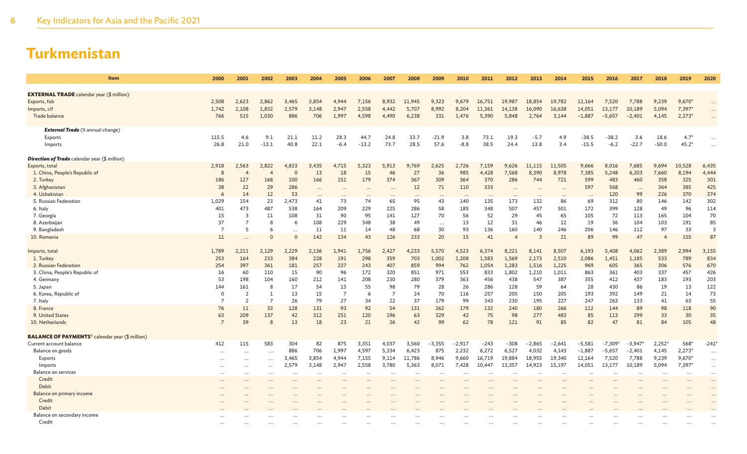| <b>Item</b>                                                       | 2000           | 2001           | 2002           | 2003      | 2004      | 2005           | 2006      | 2007           | 2008     | 2009      | 2010      | 2011     | 2012           | 2013           | 2014     | 2015     | 2016     | 2017      | 2018           | 2019     | 2020           |
|-------------------------------------------------------------------|----------------|----------------|----------------|-----------|-----------|----------------|-----------|----------------|----------|-----------|-----------|----------|----------------|----------------|----------|----------|----------|-----------|----------------|----------|----------------|
| <b>EXTERNAL TRADE</b> calendar year (\$ million)                  |                |                |                |           |           |                |           |                |          |           |           |          |                |                |          |          |          |           |                |          |                |
| Exports, fob                                                      | 2,508          | 2.623          | 2,862          | 3,465     | 3,854     | 4.944          | 7,156     | 8,932          | 11,945   | 9,323     | 9.679     | 16,751   | 19,987         | 18,854         | 19,782   | 12,164   | 7,520    | 7.788     | 9,239          | $9,670*$ | $\cdots$       |
| Imports, cif                                                      | 1,742          | 2,108          | 1,832          | 2,579     | 3,148     | 2,947          | 2,558     | 4,442          | 5,707    | 8,992     | 8,204     | 11,361   | 14,138         | 16,090         | 16,638   | 14,051   | 13,177   | 10,189    | 5,094          | 7,397*   | $\cdots$       |
| Trade balance                                                     | 766            | 515            | 1,030          | 886       | 706       | 1,997          | 4,598     | 4,490          | 6,238    | 331       | 1.476     | 5,390    | 5,848          | 2,764          | 3,144    | $-1,887$ | $-5,657$ | $-2,401$  | 4,145          | $2,273*$ |                |
| <b>External Trade</b> (% annual change)                           |                |                |                |           |           |                |           |                |          |           |           |          |                |                |          |          |          |           |                |          |                |
| Exports                                                           | 115.5          | 4.6            | 9.1            | 21.1      | 11.2      | 28.3           | 44.7      | 24.8           | 33.7     | $-21.9$   | 3.8       | 73.1     | 19.3           | $-5.7$         | 4.9      | $-38.5$  | $-38.2$  | 3.6       | 18.6           | $4.7*$   |                |
| Imports                                                           | 26.8           | 21.0           | $-13.1$        | 40.8      | 22.1      | $-6.4$         | $-13.2$   | 73.7           | 28.5     | 57.6      | $-8.8$    | 38.5     | 24.4           | 13.8           | 3.4      | $-15.5$  | $-6.2$   | $-22.7$   | $-50.0$        | $45.2*$  | $\ddotsc$      |
| <b>Direction of Trade</b> calendar year (\$ million)              |                |                |                |           |           |                |           |                |          |           |           |          |                |                |          |          |          |           |                |          |                |
| Exports, total                                                    | 2,918          | 2,563          | 2,822          | 4,833     | 3,435     | 4.715          | 5.323     | 5,913          | 9,769    | 2,625     | 2,726     | 7,159    | 9,626          | 11,115         | 11.505   | 9,666    | 8,016    | 7,685     | 9,694          | 10,528   | 6,435          |
| 1. China, People's Republic of                                    | 8              | $\overline{4}$ | $\overline{4}$ | $\Omega$  | 13        | 18             | 15        | 46             | 27       | 36        | 985       | 4,428    | 7,568          | 8,390          | 8,978    | 7,385    | 5,248    | 6,203     | 7,660          | 8,194    | 4,444          |
| 2. Turkey                                                         | 186            | 127            | 168            | 100       | 166       | 151            | 179       | 374            | 367      | 309       | 364       | 370      | 286            | 744            | 721      | 599      | 483      | 460       | 358            | 325      | 301            |
| 3. Afghanistan                                                    | 38             | 22             | 29             | 286       | $\cdots$  | $\cdots$       | $\cdots$  | $\cdots$       | 12       | 71        | 110       | 333      | $\cdots$       | $\cdots$       | $\cdots$ | 597      | 568      | $\cdots$  | 364            | 385      | 425            |
| 4. Uzbekistan                                                     | 6              | 14             | 12             | 53        | $\cdots$  | $\cdots$       | $\cdots$  | $\cdots$       | $\cdots$ | $\ddots$  | $\cdots$  | $\cdots$ | $\cdots$       | $\cdots$       | $\cdots$ |          | 120      | 99        | 226            | 370      | 374            |
| 5. Russian Federation                                             | 1,029          | 154            | 23             | 2,473     | 41        | 73             | 74        | 65             | 95       | 43        | 140       | 135      | 173            | 132            | 86       | 69       | 312      | 80        | 146            | 142      | 302            |
| 6. Italy                                                          | 401            | 473            | 487            | 538       | 164       | 209            | 229       | 225            | 286      | 58        | 185       | 348      | 507            | 457            | 501      | 172      | 399      | 128       | 49             | 96       | 114            |
| 7. Georgia                                                        | 15             | 3              | 11             | 108       | 31        | 90             | 95        | 141            | 127      | 70        | 56        | 52       | 29             | 45             | 65       | 105      | 72       | 113       | 165            | 104      | 70             |
| 8. Azerbaijan                                                     | 37             |                | 8              | 6         | 108       | 229            | 348       | 38             | 49       |           | 13        | 12       | 31             | 46             | 12       | 19       | 36       | 104       | 103            | 191      | 85             |
| 9. Bangladesh                                                     | $\overline{7}$ | -5             | 6              | $\ddotsc$ | 11        | 11             | 14        | 48             | 68       | 30        | 93        | 136      | 160            | 140            | 246      | 206      | 146      | 112       | 97             | 33       | $\overline{3}$ |
| 10. Romania                                                       | 11             |                | $\Omega$       | $\Omega$  | 142       | 134            | 43        | 126            | 233      | 20        | 15        | 41       | $\overline{4}$ | $\overline{3}$ | 21       | 89       | 99       | 47        | $\overline{4}$ | 155      | 87             |
| Imports, total                                                    | 1,789          | 2,211          | 2,129          | 2,229     | 2,136     | 1,941          | 1,756     | 2,427          | 4,233    | 5,570     | 4,523     | 6,374    | 8,221          | 8,141          | 8,507    | 6,193    | 5,408    | 4,062     | 2,389          | 2,994    | 3,155          |
| 1. Turkey                                                         | 253            | 164            | 233            | 384       | 228       | 191            | 298       | 359            | 703      | 1,002     | 1,208     | 1,583    | 1,569          | 2,173          | 2,510    | 2,086    | 1,451    | 1,185     | 533            | 789      | 834            |
| 2. Russian Federation                                             | 254            | 397            | 361            | 181       | 257       | 237            | 243       | 407            | 859      | 994       | 762       | 1,054    | 1,283          | 1,516          | 1,225    | 969      | 605      | 365       | 306            | 576      | 670            |
| 3. China, People's Republic of                                    | 16             | 60             | 110            | 15        | 90        | 96             | 172       | 320            | 851      | 971       | 553       | 833      | 1,802          | 1,210          | 1,011    | 863      | 361      | 403       | 337            | 457      | 426            |
| 4. Germany                                                        | 53             | 198            | 104            | 160       | 212       | 141            | 208       | 230            | 280      | 379       | 363       | 456      | 438            | 547            | 387      | 355      | 412      | 437       | 183            | 193      | 203            |
| 5. Japan                                                          | 144            | 161            | 8              | 17        | 54        | 15             | 55        | 98             | 79       | 28        | 26        | 286      | 128            | 59             | 64       | 28       | 430      | 86        | 19             | 13       | 122            |
| 6. Korea, Republic of                                             | $\overline{0}$ | $\overline{2}$ | $\mathbf{1}$   | 13        | 15        | $\overline{7}$ | 6         | $\overline{7}$ | 24       | 70        | 116       | 257      | 205            | 150            | 205      | 193      | 392      | 149       | 21             | 14       | 73             |
| 7. Italy                                                          | $\overline{7}$ | $\overline{z}$ | $\overline{7}$ | 26        | 79        | 27             | 34        | 22             | 37       | 179       | 99        | 343      | 230            | 195            | 227      | 247      | 263      | 133       | 41             | 63       | 55             |
| 8. France                                                         | 76             | 11             | 33             | 128       | 131       | 93             | 92        | 54             | 131      | 262       | 179       | 132      | 240            | 180            | 266      | 112      | 144      | 89        | 98             | 118      | 90             |
| 9. United States                                                  | 63             | 209            | 137            | 42        | 312       | 251            | 120       | 196            | 63       | 329       | 42        | 75       | 98             | 277            | 483      | 85       | 113      | 299       | 33             | 30       | 35             |
| 10. Netherlands                                                   | $\overline{7}$ | 39             | 8              | 13        | 18        | 23             | 21        | 26             | 42       | 99        | 62        | 78       | 121            | 91             | 85       | 82       | 47       | 81        | 84             | 105      | 48             |
| <b>BALANCE OF PAYMENTS<sup>°</sup></b> calendar year (\$ million) |                |                |                |           |           |                |           |                |          |           |           |          |                |                |          |          |          |           |                |          |                |
| Current account balance                                           | 412            | 115            | 583            | 304       | 82        | 875            | 3,351     | 4,037          | 3,560    | $-3,355$  | $-2,917$  | $-243$   | $-308$         | $-2,865$       | $-2,641$ | $-5,581$ | $-7,309$ | $-3,947*$ | $2,252*$       | $568*$   | $-241'$        |
| Balance on goods                                                  | $\cdots$       |                |                | 886       | 706       | 1,997          | 4,597     | 5,334          | 6,423    | 875       | 2,232     | 6,272    | 6,527          | 4,032          | 4,143    | $-1,887$ | $-5,657$ | $-2,401$  | 4,145          | $2,273*$ | $\cdots$       |
| Exports                                                           |                |                | $\ddots$       | 3,465     | 3,854     | 4.944          | 7,155     | 9,114          | 11,786   | 8,946     | 9,660     | 16,719   | 19,884         | 18,955         | 19,340   | 12,164   | 7,520    | 7,788     | 9,239          | 9,670*   | $\cdots$       |
| Imports                                                           | $\cdots$       | $\ddotsc$      | $\ddots$       | 2,579     | 3,148     | 2,947          | 2,558     | 3,780          | 5,363    | 8,071     | 7,428     | 10,447   | 13,357         | 14,923         | 15,197   | 14,051   | 13,177   | 10,189    | 5,094          | 7,397    | $\ldots$       |
| Balance on services                                               | $\cdots$       |                | $\ddotsc$      | $\ddotsc$ | $\ddotsc$ | $\cdots$       | $\ddotsc$ | $\cdots$       |          | $\ddotsc$ | $\ddotsc$ |          |                |                |          |          |          |           |                | $\cdots$ | $\cdots$       |
| Credit                                                            | $\cdots$       |                |                |           |           |                |           |                |          |           |           |          |                |                |          |          |          |           |                | $\cdots$ | $\cdots$       |
| Debit                                                             |                |                |                |           |           |                |           |                |          |           |           |          |                |                |          |          |          |           |                |          |                |
| Balance on primary income                                         |                |                |                |           |           |                |           |                |          |           |           |          |                |                |          |          |          |           |                |          | $\ddotsc$      |
| Credit                                                            |                |                |                |           |           |                |           |                |          |           |           |          |                |                |          |          |          |           |                |          |                |
| Debit                                                             |                |                |                |           |           |                |           |                |          |           |           |          |                |                |          |          |          |           |                |          |                |
| Balance on secondary income                                       |                |                |                |           |           |                |           |                |          |           |           |          |                |                |          |          |          |           |                |          |                |
| Credit                                                            | $\ddots$       |                |                |           |           |                |           |                |          |           |           |          |                |                |          |          |          |           |                |          |                |
|                                                                   |                |                |                |           |           |                |           |                |          |           |           |          |                |                |          |          |          |           |                |          |                |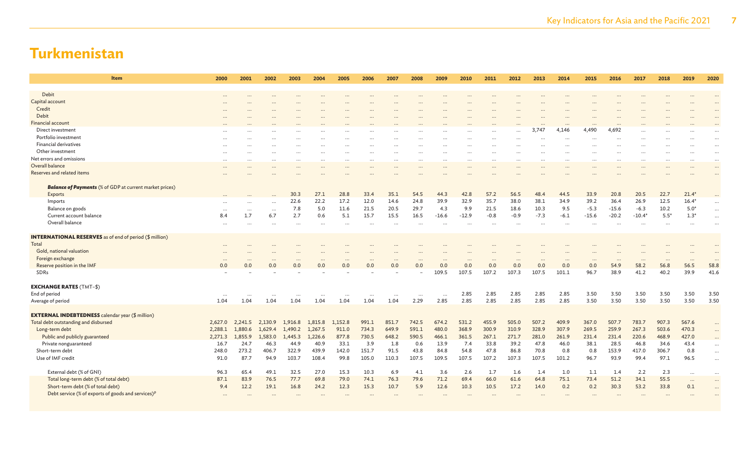| <b>Item</b>                                                    | 2000    | 2001     | 2002             | 2003    | 2004     | 2005                 | 2006      | 2007     | 2008     | 2009     | 2010    | 2011      | 2012     | 2013     | 2014     | 2015     | 2016     | 2017     | 2018     | 2019            | 2020      |
|----------------------------------------------------------------|---------|----------|------------------|---------|----------|----------------------|-----------|----------|----------|----------|---------|-----------|----------|----------|----------|----------|----------|----------|----------|-----------------|-----------|
| Debit                                                          |         |          |                  |         |          |                      |           |          |          |          |         |           |          |          |          |          |          |          |          |                 |           |
| Capital account                                                |         |          |                  |         |          |                      |           |          |          |          |         |           |          |          |          |          |          |          |          |                 |           |
| Credit                                                         |         |          |                  |         |          |                      |           |          |          |          |         |           |          |          |          |          |          |          |          |                 |           |
| Debit                                                          |         |          |                  |         |          |                      |           |          |          |          |         |           |          |          |          |          |          |          |          |                 | $\ddotsc$ |
| <b>Financial account</b>                                       |         |          |                  |         |          |                      |           |          |          |          |         |           |          |          |          |          |          |          |          |                 |           |
| Direct investment                                              |         |          |                  |         |          |                      |           |          |          |          |         |           |          | 3,747    | 4,146    | 4,490    | 4.692    |          |          |                 |           |
| Portfolio investment                                           |         |          |                  |         |          |                      |           |          |          |          |         |           |          |          |          |          |          |          |          |                 |           |
| Financial derivatives                                          |         |          |                  |         |          |                      |           |          |          |          |         | $\cdots$  |          |          | $\cdots$ |          |          |          |          |                 | $\ddotsc$ |
| Other investment                                               |         |          |                  |         |          |                      |           |          |          |          |         |           |          |          |          |          |          |          |          |                 | $\ddotsc$ |
| Net errors and omissions                                       |         |          | $\cdots$         |         |          | $\ddot{\phantom{a}}$ | $\ddotsc$ |          | $\cdots$ |          |         | $\cdots$  |          |          | $\cdots$ |          |          |          |          |                 | $\ddotsc$ |
|                                                                |         |          | $\cdots$         |         | $\cdots$ | $\cdots$             | $\cdots$  | $\cdots$ | $\cdots$ | $\cdots$ |         | $\cdots$  |          | $\cdots$ | $\cdots$ |          |          | $\cdots$ | $\cdots$ | $\cdots$        | $\cdots$  |
| Overall balance                                                |         |          |                  |         |          |                      |           |          | $\cdots$ |          |         | $\ddotsc$ |          |          | $\cdots$ |          |          |          |          |                 | $\ddots$  |
| Reserves and related items                                     |         |          |                  |         |          |                      |           |          |          |          |         |           |          |          |          |          |          |          |          |                 |           |
| <b>Balance of Payments</b> (% of GDP at current market prices) |         |          |                  |         |          |                      |           |          |          |          |         |           |          |          |          |          |          |          |          |                 |           |
| Exports                                                        |         |          |                  | 30.3    | 27.1     | 28.8                 | 33.4      | 35.1     | 54.5     | 44.3     | 42.8    | 57.2      | 56.5     | 48.4     | 44.5     | 33.9     | 20.8     | 20.5     | 22.7     | $21.4*$         |           |
| Imports                                                        |         |          |                  | 22.6    | 22.2     | 17.2                 | 12.0      | 14.6     | 24.8     | 39.9     | 32.9    | 35.7      | 38.0     | 38.1     | 34.9     | 39.2     | 36.4     | 26.9     | 12.5     | $16.4*$         |           |
| Balance on goods                                               |         | $\cdots$ | $\cdots$         | 7.8     | 5.0      | 11.6                 | 21.5      | 20.5     | 29.7     | 4.3      | 9.9     | 21.5      | 18.6     | 10.3     | 9.5      | $-5.3$   | $-15.6$  | $-6.3$   | 10.2     | $5.0*$          | $\cdots$  |
| Current account balance                                        | 8.4     | 1.7      | 6.7              | 2.7     | 0.6      | 5.1                  | 15.7      | 15.5     | 16.5     | $-16.6$  | $-12.9$ | $-0.8$    | $-0.9$   | $-7.3$   | $-6.1$   | $-15.6$  | $-20.2$  | $-10.4*$ | $5.5*$   | $1.3*$          | $\cdots$  |
| Overall balance                                                |         |          |                  |         |          |                      |           |          |          |          |         |           |          |          |          |          |          |          |          |                 |           |
| <b>INTERNATIONAL RESERVES</b> as of end of period (\$ million) |         |          |                  |         |          |                      |           |          |          |          |         |           |          |          |          |          |          |          |          |                 |           |
| Total                                                          |         |          |                  |         |          |                      |           |          |          |          |         |           |          |          |          |          |          |          |          |                 |           |
| Gold, national valuation                                       |         |          |                  |         |          |                      |           |          |          |          |         |           |          |          |          |          |          |          |          |                 |           |
| Foreign exchange                                               |         |          |                  |         | $\cdots$ | $\ddotsc$            | $\ddotsc$ |          | $\cdots$ |          |         | $\ddots$  | $\cdots$ | $\cdots$ | $\cdots$ | $\cdots$ | $\cdots$ | $\cdots$ |          | $\cdots$        | $\cdot$ . |
| Reserve position in the IMF                                    | 0.0     | 0.0      | 0.0              | 0.0     | 0.0      | 0.0                  | 0.0       | 0.0      | 0.0      | 0.0      | 0.0     | 0.0       | 0.0      | 0.0      | 0.0      | 0.0      | 54.9     | 58.2     | 56.8     | 56.5            | 58.8      |
| SDRs                                                           |         |          |                  |         |          |                      |           |          |          | 109.5    | 107.5   | 107.2     | 107.3    | 107.5    | 101.1    | 96.7     | 38.9     | 41.2     | 40.2     | 39.9            | 41.6      |
| <b>EXCHANGE RATES (TMT-\$)</b>                                 |         |          |                  |         |          |                      |           |          |          |          |         |           |          |          |          |          |          |          |          |                 |           |
| End of period                                                  |         |          |                  |         |          |                      |           |          |          |          | 2.85    | 2.85      | 2.85     | 2.85     | 2.85     | 3.50     | 3.50     | 3.50     | 3.50     | 3.50            | 3.50      |
| Average of period                                              | 1.04    | 1.04     | $\cdots$<br>1.04 | 1.04    | 1.04     | 1.04                 | 1.04      | 1.04     | <br>2.29 | <br>2.85 | 2.85    | 2.85      | 2.85     | 2.85     | 2.85     | 3.50     | 3.50     | 3.50     | 3.50     | 3.50            | 3.50      |
|                                                                |         |          |                  |         |          |                      |           |          |          |          |         |           |          |          |          |          |          |          |          |                 |           |
| <b>EXTERNAL INDEBTEDNESS</b> calendar year (\$ million)        |         |          |                  |         |          |                      |           |          |          |          |         |           |          |          |          |          |          |          |          |                 |           |
| Total debt outstanding and disbursed                           | 2,627.0 | 2,241.5  | 2,130.9          | 1.916.8 | 1,815.8  | 1.152.8              | 991.1     | 851.7    | 742.5    | 674.2    | 531.2   | 455.9     | 505.0    | 507.2    | 409.9    | 367.0    | 507.7    | 783.7    | 907.3    | 567.6           |           |
| Long-term debt                                                 | 2,288.1 | 1,880.6  | 1,629.4          | 1,490.2 | 1,267.5  | 911.0                | 734.3     | 649.9    | 591.1    | 480.0    | 368.9   | 300.9     | 310.9    | 328.9    | 307.9    | 269.5    | 259.9    | 267.3    | 503.6    | 470.3           |           |
| Public and publicly guaranteed                                 | 2,271.3 | 1,855.9  | 1,583.0          | 1,445.3 | 1,226.6  | 877.8                | 730.5     | 648.2    | 590.5    | 466.1    | 361.5   | 267.1     | 271.7    | 281.0    | 261.9    | 231.4    | 231.4    | 220.6    | 468.9    | 427.0           |           |
| Private nonguaranteed                                          | 16.7    | 24.7     | 46.3             | 44.9    | 40.9     | 33.1                 | 3.9       | 1.8      | 0.6      | 13.9     | 7.4     | 33.8      | 39.2     | 47.8     | 46.0     | 38.1     | 28.5     | 46.8     | 34.6     | 43.4            | $\cdots$  |
| Short-term debt                                                | 248.0   | 273.2    | 406.7            | 322.9   | 439.9    | 142.0                | 151.7     | 91.5     | 43.8     | 84.8     | 54.8    | 47.8      | 86.8     | 70.8     | 0.8      | 0.8      | 153.9    | 417.0    | 306.7    | 0.8             | $\cdots$  |
| Use of IMF credit                                              | 91.0    | 87.7     | 94.9             | 103.7   | 108.4    | 99.8                 | 105.0     | 110.3    | 107.5    | 109.5    | 107.5   | 107.2     | 107.3    | 107.5    | 101.2    | 96.7     | 93.9     | 99.4     | 97.1     | 96.5            | $\cdots$  |
| External debt (% of GNI)                                       | 96.3    | 65.4     | 49.1             | 32.5    | 27.0     | 15.3                 | 10.3      | 6.9      | 4.1      | 3.6      | 2.6     | 1.7       | 1.6      | 1.4      | 1.0      | 1.1      | 1.4      | 2.2      | 2.3      |                 |           |
| Total long-term debt (% of total debt)                         | 87.1    | 83.9     | 76.5             | 77.7    | 69.8     | 79.0                 | 74.1      | 76.3     | 79.6     | 71.2     | 69.4    | 66.0      | 61.6     | 64.8     | 75.1     | 73.4     | 51.2     | 34.1     | 55.5     | $\cdots$        | $\ddotsc$ |
| Short-term debt (% of total debt)                              | 9.4     | 12.2     | 19.1             | 16.8    | 24.2     | 12.3                 | 15.3      | 10.7     | 5.9      | 12.6     | 10.3    | 10.5      | 17.2     | 14.0     | 0.2      | 0.2      | 30.3     | 53.2     | 33.8     | $\cdots$<br>0.1 | $\cdots$  |
| Debt service (% of exports of goods and services) <sup>p</sup> |         |          |                  |         |          |                      |           |          |          |          |         |           |          |          |          |          |          |          |          |                 | $\ddotsc$ |
|                                                                |         |          |                  |         |          |                      |           |          |          |          |         |           |          |          |          |          |          |          |          |                 |           |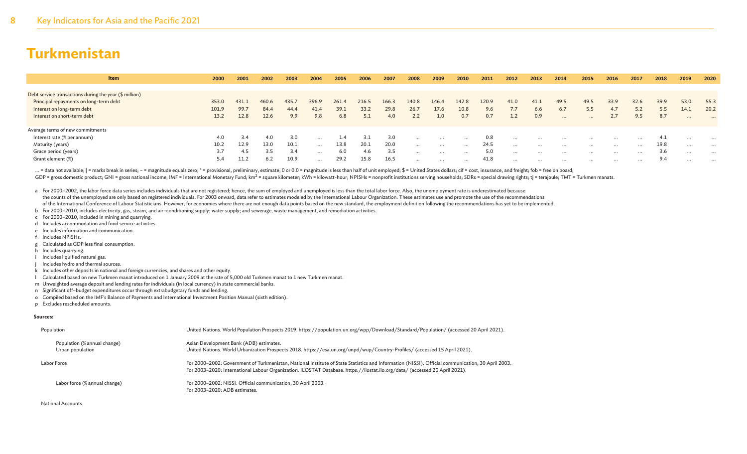| <b>Item</b>                                            | 2000  | 2001  | 2002  | 2003  | 2004     | 2005  | 2006  | 2007  | 2008     | 2009     | 2010     | 2011  | 2012     | 2013     | 2014     | 2015     | 2016     | 2017     | 2018 | 2019     | 2020     |
|--------------------------------------------------------|-------|-------|-------|-------|----------|-------|-------|-------|----------|----------|----------|-------|----------|----------|----------|----------|----------|----------|------|----------|----------|
|                                                        |       |       |       |       |          |       |       |       |          |          |          |       |          |          |          |          |          |          |      |          |          |
| Debt service transactions during the year (\$ million) |       |       |       |       |          |       |       |       |          |          |          |       |          |          |          |          |          |          |      |          |          |
| Principal repayments on long-term debt                 | 353.0 | 431.1 | 460.6 | 435.7 | 396.9    | 261.4 | 216.5 | 166.3 | 140.8    | 146.4    | 142.8    | 120.9 | 41.0     | 41.1     | 49.5     | 49.5     | 33.9     | 32.6     | 39.9 | 53.0     | 55.3     |
| Interest on long-term debt                             | 101.9 | 99.7  | 84.4  | 44.4  | 41.4     | 39.1  | 33.2  | 29.8  | 26.7     | 17.6     | 10.8     | 9.6   | 7.7      | 6.6      | 6.7      | 5.5      | 4.7      | 5.2      | 5.5  | 14.1     | 20.2     |
| Interest on short-term debt                            | 13.2  | 12.8  | 12.6  | 9.9   | 9.8      | 6.8   | 5.1   | 4.0   | 2.2      |          | 0.7      | 0.7   | 1.2      | 0.9      | $\cdots$ | $\cdots$ | 2.7      | 9.5      | 8.7  | $\cdots$ | $\cdots$ |
|                                                        |       |       |       |       |          |       |       |       |          |          |          |       |          |          |          |          |          |          |      |          |          |
| Average terms of new commitments                       |       |       |       |       |          |       |       |       |          |          |          |       |          |          |          |          |          |          |      |          |          |
| Interest rate (% per annum)                            | 4.0   | 3.4   | 4.0   | 3.0   | $\cdots$ | 1.4   |       | 3.0   | $\cdots$ | $\cdots$ | $\cdots$ | 0.8   | $\cdots$ | $\cdots$ | $\cdots$ | $\cdots$ | $\cdots$ | $\cdots$ | 4.1  | $\cdots$ | $\cdots$ |
| Maturity (years)                                       | 10.2  | 12.9  | 13.0  | 10.1  | $\cdots$ | 13.8  | 20.1  | 20.0  | $\cdots$ | $\cdots$ | $\cdots$ | 24.5  | $\cdots$ | $\cdots$ | $\cdots$ | $\cdots$ | $\cdots$ | $\cdots$ | 19.8 | $\cdots$ | $\cdots$ |
| Grace period (years)                                   | 3.7   | 4.5   | 3.5   | 3.4   | $\cdots$ | 6.0   | 4.6   | 3.5   | $\cdots$ | $\cdots$ | .        | 5.0   | $\cdots$ | $\cdots$ | $\cdots$ | $\cdots$ | $\cdots$ | $\cdots$ | 3.6  | $\cdots$ | $\cdots$ |
| Grant element (%)                                      | 5.4   | 11.2  | 6.2   | 10.9  |          | 29.2  | 15.8  | 16.5  | $\cdots$ | $\cdots$ | $\cdots$ | 41.8  | $\cdots$ | $\cdots$ | $\cdots$ | $\cdots$ | $\cdots$ | $\cdots$ | 9.4  | $\cdots$ | $\cdots$ |

... = data not available; | = marks break in series; - = magnitude equals zero; \* = provisional, preliminary, estimate; 0 or 0.0 = magnitude is less than half of unit employed; \$ = United States dollars; cif = cost, insura GDP = gross domestic product; GNI = gross national income; IMF = International Monetary Fund; km<sup>2</sup> = square kilometer; kWh = kilowatt-hour; NPISHs = nonprofit institutions serving households; SDRs = special drawing rights

a For 2000–2002, the labor force data series includes individuals that are not registered; hence, the sum of employed and unemployed is less than the total labor force. Also, the unemployment rate is underestimated because the counts of the unemployed are only based on registered individuals. For 2003 onward, data refer to estimates modeled by the International Labour Organization. These estimates use and promote the use of the recommendations of the International Conference of Labour Statisticians. However, for economies where there are not enough data points based on the new standard, the employment definition following the recommendations has yet to be implem

b For 2000–2010, includes electricity, gas, steam, and air–conditioning supply; water supply; and sewerage, waste management, and remediation activities.

- c For 2000–2010, included in mining and quarrying.
- d Includes accommodation and food service activities.
- e Includes information and communication.
- f Includes NPISHs.
- g Calculated as GDP less final consumption.
- h Includes quarrying.
- i Includes liquified natural gas.
- Includes hydro and thermal sources.
- k Includes other deposits in national and foreign currencies, and shares and other equity.
- l Calculated based on new Turkmen manat introduced on 1 January 2009 at the rate of 5,000 old Turkmen manat to 1 new Turkmen manat.
- m Unweighted average deposit and lending rates for individuals (in local currency) in state commercial banks.
- n Significant off–budget expenditures occur through extrabudgetary funds and lending.
- o Compiled based on the IMF's Balance of Payments and International Investment Position Manual (sixth edition).
- p Excludes rescheduled amounts.

#### **Sources:**

| Population                                       | United Nations. World Population Prospects 2019. https://population.un.org/wpp/Download/Standard/Population/ (accessed 20 April 2021).                                                                                                                                           |
|--------------------------------------------------|----------------------------------------------------------------------------------------------------------------------------------------------------------------------------------------------------------------------------------------------------------------------------------|
| Population (% annual change)<br>Urban population | Asian Development Bank (ADB) estimates.<br>United Nations. World Urbanization Prospects 2018. https://esa.un.org/unpd/wup/Country-Profiles/ (accessed 15 April 2021).                                                                                                            |
| Labor Force                                      | For 2000-2002: Government of Turkmenistan, National Institute of State Statistics and Information (NISSI). Official communication, 30 April 2003.<br>For 2003-2020: International Labour Organization. ILOSTAT Database. https://ilostat.ilo.org/data/ (accessed 20 April 2021). |
| Labor force (% annual change)                    | For 2000-2002: NISSI. Official communication, 30 April 2003.<br>For 2003-2020: ADB estimates.                                                                                                                                                                                    |

National Accounts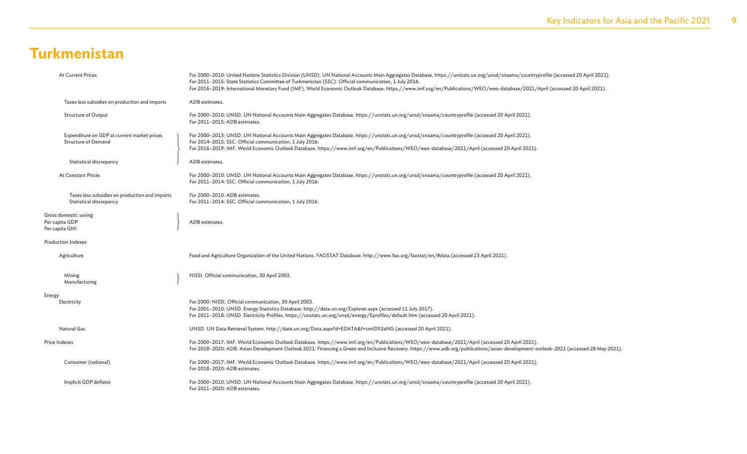| <b>At Current Prices</b>                                                  | For 2000-2010: United Nations Statistics Division (UNSD). UN National Accounts Main Aggregates Database. https://unstats.un.org/unsd/snaama/countryprofile (accessed 20 April 2021).<br>For 2011-2015: State Statistics Committee of Turkmenistan (SSC). Official communication, 1 July 2016.<br>For 2016-2019: International Monetary Fund (IMF). World Economic Outlook Database. https://www.imf.org/en/Publications/WEO/weo-database/2021/April (accessed 20 April 2021). |
|---------------------------------------------------------------------------|-------------------------------------------------------------------------------------------------------------------------------------------------------------------------------------------------------------------------------------------------------------------------------------------------------------------------------------------------------------------------------------------------------------------------------------------------------------------------------|
| Taxes less subsidies on production and imports                            | ADB estimates.                                                                                                                                                                                                                                                                                                                                                                                                                                                                |
| Structure of Output                                                       | For 2000-2010: UNSD. UN National Accounts Main Aggregates Database. https://unstats.un.org/unsd/snaama/countryprofile (accessed 20 April 2021).<br>For 2011-2015: ADB estimates.                                                                                                                                                                                                                                                                                              |
| Expenditure on GDP at current market prices<br><b>Structure of Demand</b> | For 2000-2013: UNSD. UN National Accounts Main Aggregates Database. https://unstats.un.org/unsd/snaama/countryprofile (accessed 20 April 2021).<br>For 2014-2015: SSC. Official communication, 1 July 2016.<br>For 2016-2019: IMF. World Economic Outlook Database. https://www.imf.org/en/Publications/WEO/weo-database/2021/April (accessed 20 April 2021).                                                                                                                 |
| Statistical discrepancy                                                   | ADB estimates.                                                                                                                                                                                                                                                                                                                                                                                                                                                                |
| <b>At Constant Prices</b>                                                 | For 2000-2010: UNSD. UN National Accounts Main Aggregates Database. https://unstats.un.org/unsd/snaama/countryprofile (accessed 20 April 2021).<br>For 2011-2014: SSC. Official communication, 1 July 2016.                                                                                                                                                                                                                                                                   |
| Taxes less subsidies on production and imports<br>Statistical discrepancy | For 2000-2010: ADB estimates.<br>For 2011-2014: SSC. Official communication, 1 July 2016.                                                                                                                                                                                                                                                                                                                                                                                     |
| Gross domestic saving<br>Per capita GDP<br>Per capita GNI                 | ADB estimates.                                                                                                                                                                                                                                                                                                                                                                                                                                                                |
| <b>Production Indexes</b>                                                 |                                                                                                                                                                                                                                                                                                                                                                                                                                                                               |
| Agriculture                                                               | Food and Agriculture Organization of the United Nations. FAOSTAT Database. http://www.fao.org/faostat/en/#data (accessed 23 April 2021).                                                                                                                                                                                                                                                                                                                                      |
| Mining<br>Manufacturing                                                   | NISSI. Official communication, 30 April 2003.                                                                                                                                                                                                                                                                                                                                                                                                                                 |
| Energy<br>Electricity                                                     | For 2000: NISSI. Official communication, 30 April 2003.<br>For 2001-2010: UNSD. Energy Statistics Database. http://data.un.org/Explorer.aspx (accessed 11 July 2017).<br>For 2011-2018: UNSD. Electricity Profiles. https://unstats.un.org/unsd/energy/Eprofiles/default.htm (accessed 20 April 2021).                                                                                                                                                                        |
| Natural Gas                                                               | UNSD. UN Data Retrieval System. http://data.un.org/Data.aspx?d=EDATA&f=cmID%3aNG (accessed 20 April 2021).                                                                                                                                                                                                                                                                                                                                                                    |
| Price Indexes                                                             | .For 2000–2017: IMF. World Economic Outlook Database. https://www.imf.org/en/Publications/WEO/weo-database/2021/April (accessed 20 April 2021)<br>For 2018-2020: ADB. Asian Development Outlook 2021: Financing a Green and Inclusive Recovery. https://www.adb.org/publications/asian-development-outlook-2021 (accessed 28 May 2021).                                                                                                                                       |
| Consumer (national)                                                       | For 2000-2017: IMF. World Economic Outlook Database. https://www.imf.org/en/Publications/WEO/weo-database/2021/April (accessed 20 April 2021).<br>For 2018-2020: ADB estimates.                                                                                                                                                                                                                                                                                               |
| Implicit GDP deflator                                                     | For 2000-2010: UNSD. UN National Accounts Main Aggregates Database. https://unstats.un.org/unsd/snaama/countryprofile (accessed 20 April 2021).<br>For 2011-2020: ADB estimates.                                                                                                                                                                                                                                                                                              |